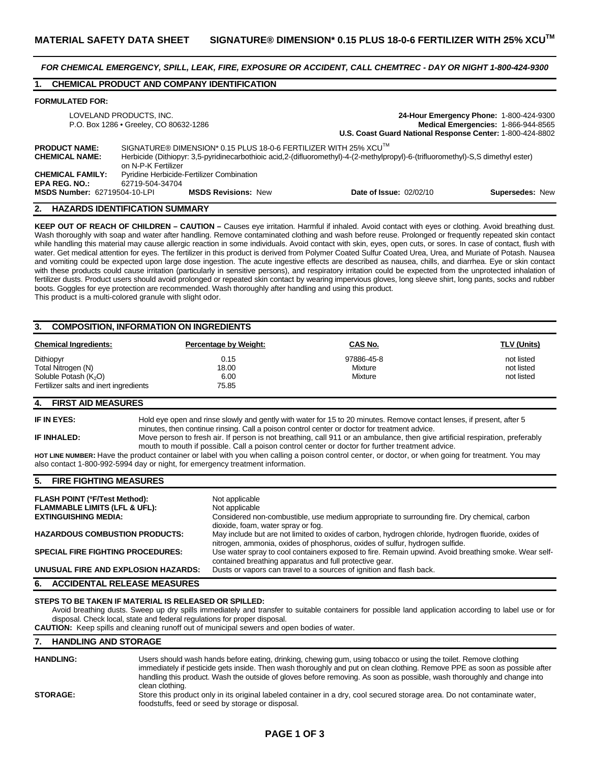*FOR CHEMICAL EMERGENCY, SPILL, LEAK, FIRE, EXPOSURE OR ACCIDENT, CALL CHEMTREC - DAY OR NIGHT 1-800-424-9300* 

# **1. CHEMICAL PRODUCT AND COMPANY IDENTIFICATION**

#### **FORMULATED FOR:**

| LOVELAND PRODUCTS, INC.<br>P.O. Box 1286 . Greeley, CO 80632-1286 |                                                                                                                                                                                                                                        | 24-Hour Emergency Phone: 1-800-424-9300<br>Medical Emergencies: 1-866-944-8565<br>U.S. Coast Guard National Response Center: 1-800-424-8802 |                 |  |
|-------------------------------------------------------------------|----------------------------------------------------------------------------------------------------------------------------------------------------------------------------------------------------------------------------------------|---------------------------------------------------------------------------------------------------------------------------------------------|-----------------|--|
| <b>PRODUCT NAME:</b><br><b>CHEMICAL NAME:</b>                     | SIGNATURE® DIMENSION* 0.15 PLUS 18-0-6 FERTILIZER WITH 25% XCU <sup>™</sup><br>Herbicide (Dithiopyr: 3,5-pyridinecarbothioic acid,2-(difluoromethyl)-4-(2-methylpropyl)-6-(trifluoromethyl)-S,S dimethyl ester)<br>on N-P-K Fertilizer |                                                                                                                                             |                 |  |
| <b>CHEMICAL FAMILY:</b><br><b>EPA REG. NO.:</b>                   | <b>Pyridine Herbicide-Fertilizer Combination</b><br>62719-504-34704                                                                                                                                                                    |                                                                                                                                             |                 |  |
| <b>MSDS Number: 62719504-10-LPI</b>                               | <b>MSDS Revisions: New</b>                                                                                                                                                                                                             | <b>Date of Issue: 02/02/10</b>                                                                                                              | Supersedes: New |  |

#### **2. HAZARDS IDENTIFICATION SUMMARY**

**KEEP OUT OF REACH OF CHILDREN – CAUTION –** Causes eye irritation. Harmful if inhaled. Avoid contact with eyes or clothing. Avoid breathing dust. Wash thoroughly with soap and water after handling. Remove contaminated clothing and wash before reuse. Prolonged or frequently repeated skin contact while handling this material may cause allergic reaction in some individuals. Avoid contact with skin, eyes, open cuts, or sores. In case of contact, flush with water. Get medical attention for eyes. The fertilizer in this product is derived from Polymer Coated Sulfur Coated Urea, Urea, and Muriate of Potash. Nausea and vomiting could be expected upon large dose ingestion. The acute ingestive effects are described as nausea, chills, and diarrhea. Eye or skin contact with these products could cause irritation (particularly in sensitive persons), and respiratory irritation could be expected from the unprotected inhalation of fertilizer dusts. Product users should avoid prolonged or repeated skin contact by wearing impervious gloves, long sleeve shirt, long pants, socks and rubber boots. Goggles for eye protection are recommended. Wash thoroughly after handling and using this product.

This product is a multi-colored granule with slight odor.

## **3. COMPOSITION, INFORMATION ON INGREDIENTS**

| <b>Chemical Ingredients:</b>           | <b>Percentage by Weight:</b> | <u>CAS No.</u> | <b>TLV (Units)</b> |
|----------------------------------------|------------------------------|----------------|--------------------|
| Dithiopyr                              | 0.15                         | 97886-45-8     | not listed         |
| Total Nitrogen (N)                     | 18.00                        | Mixture        | not listed         |
| Soluble Potash (K <sub>2</sub> O)      | 6.00                         | Mixture        | not listed         |
| Fertilizer salts and inert ingredients | 75.85                        |                |                    |

# **4. FIRST AID MEASURES**

**IF IN EYES:** Hold eye open and rinse slowly and gently with water for 15 to 20 minutes. Remove contact lenses, if present, after 5 minutes, then continue rinsing. Call a poison control center or doctor for treatment advice.

**IF INHALED:** Move person to fresh air. If person is not breathing, call 911 or an ambulance, then give artificial respiration, preferably mouth to mouth if possible. Call a poison control center or doctor for further treatment advice.

**HOT LINE NUMBER:** Have the product container or label with you when calling a poison control center, or doctor, or when going for treatment. You may also contact 1-800-992-5994 day or night, for emergency treatment information.

## **5. FIRE FIGHTING MEASURES**

| <b>FLASH POINT (°F/Test Method):</b>     | Not applicable                                                                                                                                                                       |
|------------------------------------------|--------------------------------------------------------------------------------------------------------------------------------------------------------------------------------------|
| <b>FLAMMABLE LIMITS (LFL &amp; UFL):</b> | Not applicable                                                                                                                                                                       |
| <b>EXTINGUISHING MEDIA:</b>              | Considered non-combustible, use medium appropriate to surrounding fire. Dry chemical, carbon<br>dioxide, foam, water spray or fog.                                                   |
| <b>HAZARDOUS COMBUSTION PRODUCTS:</b>    | May include but are not limited to oxides of carbon, hydrogen chloride, hydrogen fluoride, oxides of<br>nitrogen, ammonia, oxides of phosphorus, oxides of sulfur, hydrogen sulfide. |
| <b>SPECIAL FIRE FIGHTING PROCEDURES:</b> | Use water spray to cool containers exposed to fire. Remain upwind. Avoid breathing smoke. Wear self-<br>contained breathing apparatus and full protective gear.                      |
| UNUSUAL FIRE AND EXPLOSION HAZARDS:      | Dusts or vapors can travel to a sources of ignition and flash back.                                                                                                                  |

### **6. ACCIDENTAL RELEASE MEASURES**

#### **STEPS TO BE TAKEN IF MATERIAL IS RELEASED OR SPILLED:**

Avoid breathing dusts. Sweep up dry spills immediately and transfer to suitable containers for possible land application according to label use or for disposal. Check local, state and federal regulations for proper disposal.

**CAUTION:** Keep spills and cleaning runoff out of municipal sewers and open bodies of water.

## **7. HANDLING AND STORAGE**

| <b>HANDLING:</b> | Users should wash hands before eating, drinking, chewing gum, using tobacco or using the toilet. Remove clothing<br>immediately if pesticide gets inside. Then wash thoroughly and put on clean clothing. Remove PPE as soon as possible after<br>handling this product. Wash the outside of gloves before removing. As soon as possible, wash thoroughly and change into<br>clean clothing. |
|------------------|----------------------------------------------------------------------------------------------------------------------------------------------------------------------------------------------------------------------------------------------------------------------------------------------------------------------------------------------------------------------------------------------|
| <b>STORAGE:</b>  | Store this product only in its original labeled container in a dry, cool secured storage area. Do not contaminate water,<br>foodstuffs, feed or seed by storage or disposal.                                                                                                                                                                                                                 |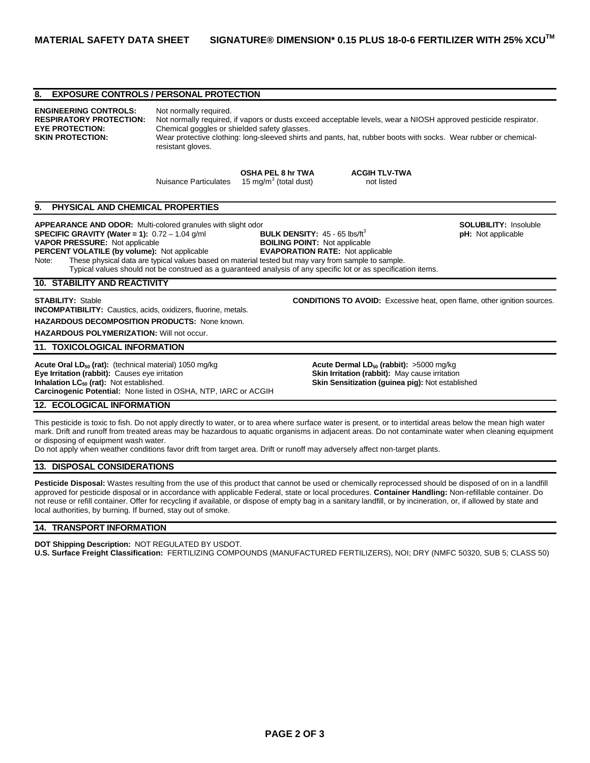# **8. EXPOSURE CONTROLS / PERSONAL PROTECTION ENGINEERING CONTROLS:** Not normally required. **RESPIRATORY PROTECTION:** Not normally required, if vapors or dusts exceed acceptable levels, wear a NIOSH approved pesticide respirator. **EYE PROTECTION:** Chemical goggles or shielded safety glasses. **SKIN PROTECTION:** Wear protective clothing: long-sleeved shirts and pants, hat, rubber boots with socks. Wear rubber or chemicalresistant gloves. **OSHA PEL 8 hr TWA ACGIH TLV-TWA Nuisance Particulates**  $(15 \text{ mg/m}^3 \text{ (total dust)}$  not listed **9. PHYSICAL AND CHEMICAL PROPERTIES APPEARANCE AND ODOR:** Multi-colored granules with slight odor **SOLUBILITY:** Insoluble **SPECIFIC GRAVITY (Water = 1):** 0.72 – 1.04 g/ml **BULK DENSITY:** 45 - 65 lbs/ft<sup>3</sup> **pH: pH:** Not applicable **VAPOR PRESSURE:** Not applicable **ptical publicable pH:** Not applicable **prical publicable prical publicable VAPOR PRESSURE: Not applicable PERCENT VOLATILE (by volume):** Not applicable **EVAPORATION RATE:** Not applicable Note: These physical data are typical values based on material tested but may vary from sample to sample. Typical values should not be construed as a guaranteed analysis of any specific lot or as specification items. **10. STABILITY AND REACTIVITY STABILITY:** Stable **CONDITIONS TO AVOID:** Excessive heat, open flame, other ignition sources. **INCOMPATIBILITY:** Caustics, acids, oxidizers, fluorine, metals. **HAZARDOUS DECOMPOSITION PRODUCTS:** None known. **HAZARDOUS POLYMERIZATION:** Will not occur. **11. TOXICOLOGICAL INFORMATION Acute Oral LD<sub>50</sub> (rat):** (technical material) 1050 mg/kg **Acute Dermal LD<sub>50</sub> (rabbit):** >5000 mg/kg **Eye Irritation (rabbit):** Causes eye irritation **Eye Irritation (rabbit):** Causes eye irritation **Inhalation LC**<sub>50</sub> (rat): Not established. **Skin Sensitization (guinea pig): Not established Carcinogenic Potential:** None listed in OSHA, NTP, IARC or ACGIH **12. ECOLOGICAL INFORMATION**

This pesticide is toxic to fish. Do not apply directly to water, or to area where surface water is present, or to intertidal areas below the mean high water mark. Drift and runoff from treated areas may be hazardous to aquatic organisms in adjacent areas. Do not contaminate water when cleaning equipment or disposing of equipment wash water.

Do not apply when weather conditions favor drift from target area. Drift or runoff may adversely affect non-target plants.

## **13. DISPOSAL CONSIDERATIONS**

Pesticide Disposal: Wastes resulting from the use of this product that cannot be used or chemically reprocessed should be disposed of on in a landfill approved for pesticide disposal or in accordance with applicable Federal, state or local procedures. **Container Handling:** Non-refillable container. Do not reuse or refill container. Offer for recycling if available, or dispose of empty bag in a sanitary landfill, or by incineration, or, if allowed by state and local authorities, by burning. If burned, stay out of smoke.

## **14. TRANSPORT INFORMATION**

**DOT Shipping Description:** NOT REGULATED BY USDOT. **U.S. Surface Freight Classification:** FERTILIZING COMPOUNDS (MANUFACTURED FERTILIZERS), NOI; DRY (NMFC 50320, SUB 5; CLASS 50)